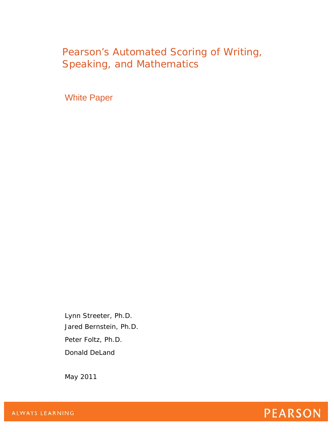# Pearson's Automated Scoring of Writing, Speaking, and Mathematics

White Paper

Lynn Streeter, Ph.D. Jared Bernstein, Ph.D. Peter Foltz, Ph.D. Donald DeLand

May 2011

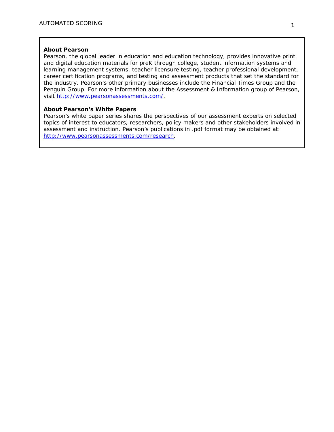#### **About Pearson**

Pearson, the global leader in education and education technology, provides innovative print and digital education materials for preK through college, student information systems and learning management systems, teacher licensure testing, teacher professional development, career certification programs, and testing and assessment products that set the standard for the industry. Pearson's other primary businesses include the Financial Times Group and the Penguin Group. For more information about the Assessment & Information group of Pearson, visit [http://www.pearsonassessments.com/.](http://www.pearsonassessments.com/)

#### **About Pearson's White Papers**

Pearson's white paper series shares the perspectives of our assessment experts on selected topics of interest to educators, researchers, policy makers and other stakeholders involved in assessment and instruction. Pearson's publications in .pdf format may be obtained at: [http://www.pearsonassessments.com/research.](http://www.pearsonassessments.com/research)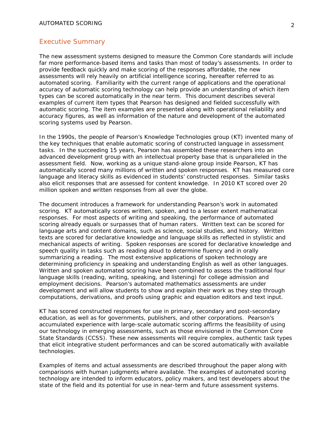#### Executive Summary

The new assessment systems designed to measure the Common Core standards will include far more performance-based items and tasks than most of today's assessments. In order to provide feedback quickly and make scoring of the responses affordable, the new assessments will rely heavily on artificial intelligence scoring, hereafter referred to as automated scoring. Familiarity with the current range of applications and the operational accuracy of automatic scoring technology can help provide an understanding of which item types can be scored automatically in the near term. This document describes several examples of current item types that Pearson has designed and fielded successfully with automatic scoring. The item examples are presented along with operational reliability and accuracy figures, as well as information of the nature and development of the automated scoring systems used by Pearson.

In the 1990s, the people of Pearson's Knowledge Technologies group (KT) invented many of the key techniques that enable automatic scoring of constructed language in assessment tasks. In the succeeding 15 years, Pearson has assembled these researchers into an advanced development group with an intellectual property base that is unparalleled in the assessment field. Now, working as a unique stand-alone group inside Pearson, KT has automatically scored many millions of written and spoken responses. KT has measured core language and literacy skills as evidenced in students' constructed responses. Similar tasks also elicit responses that are assessed for content knowledge. In 2010 KT scored over 20 million spoken and written responses from all over the globe.

The document introduces a framework for understanding Pearson's work in automated scoring. KT automatically scores written, spoken, and to a lesser extent mathematical responses. For most aspects of writing and speaking, the performance of automated scoring already equals or surpasses that of human raters. Written text can be scored for language arts and content domains, such as science, social studies, and history. Written texts are scored for declarative knowledge and language skills as reflected in stylistic and mechanical aspects of writing. Spoken responses are scored for declarative knowledge and speech quality in tasks such as reading aloud to determine fluency and in orally summarizing a reading. The most extensive applications of spoken technology are determining proficiency in speaking and understanding English as well as other languages. Written and spoken automated scoring have been combined to assess the traditional four language skills (reading, writing, speaking, and listening) for college admission and employment decisions. Pearson's automated mathematics assessments are under development and will allow students to show and explain their work as they step through computations, derivations, and proofs using graphic and equation editors and text input.

KT has scored constructed responses for use in primary, secondary and post-secondary education, as well as for governments, publishers, and other corporations. Pearson's accumulated experience with large-scale automatic scoring affirms the feasibility of using our technology in emerging assessments, such as those envisioned in the Common Core State Standards (CCSS). These new assessments will require complex, authentic task types that elicit integrative student performances and can be scored automatically with available technologies.

Examples of items and actual assessments are described throughout the paper along with comparisons with human judgments where available. The examples of automated scoring technology are intended to inform educators, policy makers, and test developers about the state of the field and its potential for use in near-term and future assessment systems.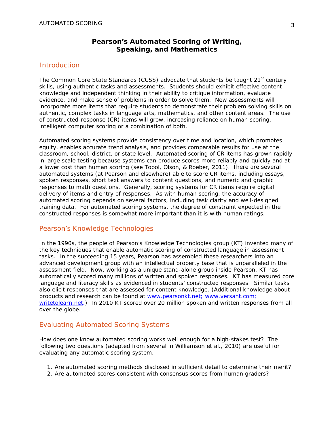# **Pearson's Automated Scoring of Writing, Speaking, and Mathematics**

# **Introduction**

The Common Core State Standards (CCSS) advocate that students be taught 21<sup>st</sup> century skills, using authentic tasks and assessments. Students should exhibit effective content knowledge and independent thinking in their ability to critique information, evaluate evidence, and make sense of problems in order to solve them. New assessments will incorporate more items that require students to demonstrate their problem solving skills on authentic, complex tasks in language arts, mathematics, and other content areas. The use of constructed-response (CR) items will grow, increasing reliance on human scoring, intelligent computer scoring or a combination of both.

Automated scoring systems provide consistency over time and location, which promotes equity, enables accurate trend analysis, and provides comparable results for use at the classroom, school, district, or state level. Automated scoring of CR items has grown rapidly in large scale testing because systems can produce scores more reliably and quickly and at a lower cost than human scoring (see Topol, Olson, & Roeber, 2011). There are several automated systems (at Pearson and elsewhere) able to score CR items, including essays, spoken responses, short text answers to content questions, and numeric and graphic responses to math questions. Generally, scoring systems for CR items require digital delivery of items and entry of responses. As with human scoring, the accuracy of automated scoring depends on several factors, including task clarity and well-designed training data. For automated scoring systems, the degree of constraint expected in the constructed responses is somewhat more important than it is with human ratings.

# Pearson's Knowledge Technologies

In the 1990s, the people of Pearson's Knowledge Technologies group (KT) invented many of the key techniques that enable automatic scoring of constructed language in assessment tasks. In the succeeding 15 years, Pearson has assembled these researchers into an advanced development group with an intellectual property base that is unparalleled in the assessment field. Now, working as a unique stand-alone group inside Pearson, KT has automatically scored many millions of written and spoken responses. KT has measured core language and literacy skills as evidenced in students' constructed responses. Similar tasks also elicit responses that are assessed for content knowledge. (Additional knowledge about products and research can be found at www.pearsonkt.net; [www.versant.com;](http://www.versant.com/) writetolearn.net.) In 2010 KT scored over 20 million spoken and written responses from all over the globe.

# Evaluating Automated Scoring Systems

How does one know automated scoring works well enough for a high-stakes test? The following two questions (adapted from several in Williamson et al., 2010) are useful for evaluating any automatic scoring system.

- *1. Are automated scoring methods disclosed in sufficient detail to determine their merit?*
- *2. Are automated scores consistent with consensus scores from human graders?*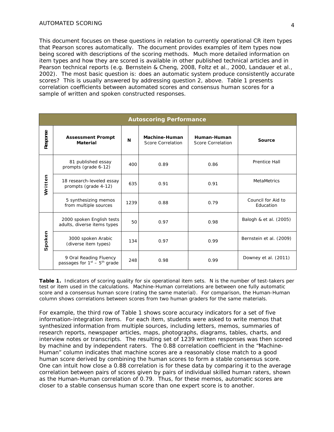This document focuses on these questions in relation to currently operational CR item types that Pearson scores automatically. The document provides examples of item types now being scored with descriptions of the scoring methods. Much more detailed information on item types and how they are scored is available in other published technical articles and in Pearson technical reports (e.g. Bernstein & Cheng, 2008, Foltz et al., 2000, Landauer et al., 2002). The most basic question is: does an automatic system produce consistently accurate scores? This is usually answered by addressing question 2, above. Table 1 presents correlation coefficients between automated scores and consensus human scores for a sample of written and spoken constructed responses.

|                   |                                                          |      | <b>Autoscoring Performance</b>            |                                  |                                 |
|-------------------|----------------------------------------------------------|------|-------------------------------------------|----------------------------------|---------------------------------|
| Response          | <b>Assessment Prompt</b><br><b>Material</b>              | N    | Machine-Human<br><b>Score Correlation</b> | Human-Human<br>Score Correlation | Source                          |
|                   | 81 published essay<br>prompts (grade 6-12)               | 400  | 0.89                                      | 0.86                             | Prentice Hall                   |
| Written           | 18 research-leveled essay<br>prompts (grade 4-12)        | 635  | 0.91                                      | 0.91                             | <b>MetaMetrics</b>              |
|                   | 5 synthesizing memos<br>from multiple sources            | 1239 | 0.88                                      | 0.79                             | Council for Aid to<br>Education |
|                   | 2000 spoken English tests<br>adults, diverse items types | 50   | 0.97                                      | 0.98                             | Balogh & et al. (2005)          |
| poken<br>$\sigma$ | 3000 spoken Arabic<br>(diverse item types)               | 134  | 0.97                                      | 0.99                             | Bernstein et al. (2009)         |
|                   | 9 Oral Reading Fluency<br>passages for $1st - 5th$ grade | 248  | 0.98                                      | 0.99                             | Downey et al. (2011)            |

**Table 1.** *Indicators of scoring quality for six operational item sets. N is the number of test-takers per test or item used in the calculations. Machine-Human correlations are between one fully automatic score and a consensus human score (rating the same material). For comparison, the Human-Human column shows correlations between scores from two human graders for the same materials.* 

For example, the third row of Table 1 shows score accuracy indicators for a set of five information-integration items. For each item, students were asked to write memos that synthesized information from multiple sources, including letters, memos, summaries of research reports, newspaper articles, maps, photographs, diagrams, tables, charts, and interview notes or transcripts. The resulting set of 1239 written responses was then scored by machine and by independent raters. The 0.88 correlation coefficient in the "Machine-Human" column indicates that machine scores are a reasonably close match to a good human score derived by combining the human scores to form a stable consensus score. One can intuit how close a 0.88 correlation is for these data by comparing it to the average correlation between pairs of scores given by pairs of individual skilled human raters, shown as the Human-Human correlation of 0.79. Thus, for these memos, automatic scores are closer to a stable consensus human score than one expert score is to another.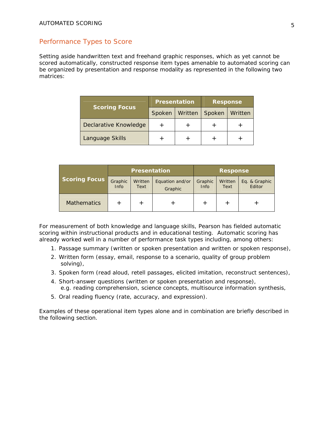# Performance Types to Score

Setting aside handwritten text and freehand graphic responses, which as yet cannot be scored automatically, constructed response item types amenable to automated scoring can be organized by presentation and response modality as represented in the following two matrices:

|                       | <b>Presentation</b> |         | <b>Response</b> |         |
|-----------------------|---------------------|---------|-----------------|---------|
| <b>Scoring Focus</b>  | Spoken              | Written | Spoken          | Written |
| Declarative Knowledge |                     |         |                 |         |
| Language Skills       |                     |         |                 |         |

|                      | <b>Presentation</b>    |                 |                            | <b>Response</b> |                 |                         |
|----------------------|------------------------|-----------------|----------------------------|-----------------|-----------------|-------------------------|
| <b>Scoring Focus</b> | Graphic<br><b>Info</b> | Written<br>Text | Equation and/or<br>Graphic | Graphic<br>Info | Written<br>Text | Eq. & Graphic<br>Editor |
| <b>Mathematics</b>   |                        | $^{+}$          |                            |                 |                 |                         |

For measurement of both knowledge and language skills, Pearson has fielded automatic scoring within instructional products and in educational testing. Automatic scoring has already worked well in a number of performance task types including, among others:

- 1. Passage summary (written or spoken presentation and written or spoken response),
- 2. Written form (essay, email, response to a scenario, quality of group problem solving),
- 3. Spoken form (read aloud, retell passages, elicited imitation, reconstruct sentences),
- 4. Short-answer questions (written or spoken presentation and response), e.g. reading comprehension, science concepts, multisource information synthesis,
- 5. Oral reading fluency (rate, accuracy, and expression).

Examples of these operational item types alone and in combination are briefly described in the following section.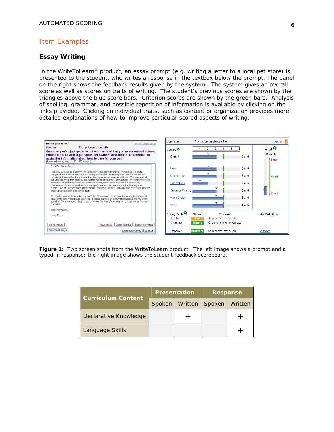## Item Examples

#### **Essay Writing**

In the WriteToLearn<sup>®</sup> product, an essay prompt (e.g. writing a letter to a local pet store) is presented to the student, who writes a response in the textbox below the prompt. The panel on the right shows the feedback results given by the system. The system gives an overall score as well as scores on traits of writing. The student's previous scores are shown by the triangles above the blue score bars. Criterion scores are shown by the green bars. Analysis of spelling, grammar, and possible repetition of information is available by clicking on the links provided. Clicking on individual traits, such as content or organization provides more detailed explanations of how to improve particular scored aspects of writing.



**Figure 1:** *Two screen shots from the WriteToLearn product. The left image shows a prompt and a typed-in response; the right image shows the student feedback scoreboard.* 

|                           | <b>Presentation</b> |         | <b>Response</b> |         |
|---------------------------|---------------------|---------|-----------------|---------|
| <b>Curriculum Content</b> | Spoken              | Written | Spoken          | Written |
| Declarative Knowledge     |                     |         |                 |         |
| Language Skills           |                     |         |                 |         |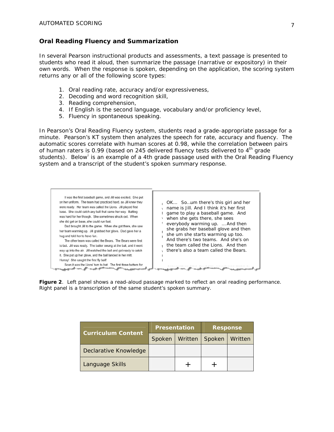## **Oral Reading Fluency and Summarization**

In several Pearson instructional products and assessments, a text passage is presented to students who read it aloud, then summarize the passage (narrative or expository) in their own words. When the response is spoken, depending on the application, the scoring system returns any or all of the following score types:

- 1. Oral reading rate, accuracy and/or expressiveness,
- 2. Decoding and word recognition skill,
- 3. Reading comprehension,
- 4. If English is the second language, vocabulary and/or proficiency level,
- 5. Fluency in spontaneous speaking.

In Pearson's Oral Reading Fluency system, students read a grade-appropriate passage for a minute. Pearson's KT system then analyzes the speech for rate, accuracy and fluency. The automatic scores correlate with human scores at 0.98, while the correlation between pairs of human raters is 0.99 (based on 245 delivered fluency tests delivered to  $4<sup>th</sup>$  grade students). Below [i](#page-23-0)s an example of a 4th grade passage used with the Oral Reading Fluency system and a transcript of the student's spoken summary response.



**Figure 2**. *Left panel shows a read-aloud passage marked to reflect an oral reading performance. Right panel is a transcription of the same student's spoken summary*.

| <b>Curriculum Content</b> | <b>Presentation</b> |         | <b>Response</b>  |  |
|---------------------------|---------------------|---------|------------------|--|
|                           | Spoken              | Written | Spoken   Written |  |
| Declarative Knowledge     |                     |         |                  |  |
| Language Skills           |                     |         |                  |  |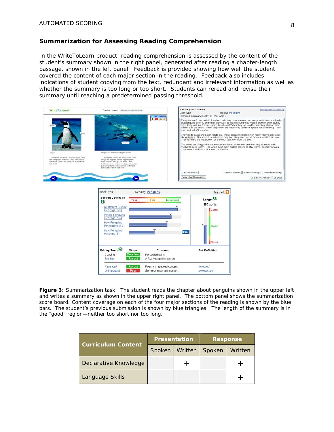#### **Summarization for Assessing Reading Comprehension**

In the WriteToLearn product, reading comprehension is assessed by the content of the student's summary shown in the right panel, generated after reading a chapter-length passage, shown in the left panel. Feedback is provided showing how well the student covered the content of each major section in the reading. Feedback also includes indications of student copying from the text, redundant and irrelevant information as well as whether the summary is too long or too short. Students can reread and revise their summary until reaching a predetermined passing threshold.

| <b>WriteToLearn</b>                                                                                                                               | Reading: Penguins   Control Working on Summary                                                                                                                                                                                                        | User Ivnn<br>ant limit mill. | Revise your summary:<br>Reading: Penguins<br>Expected summary length: 80 - 250 words.                                                                                                                                                                                                                                                                                                                                                                                                                                                                                                                                                                                                                                                                                                                                                                                                                                                              | Writing a Good Summary                |
|---------------------------------------------------------------------------------------------------------------------------------------------------|-------------------------------------------------------------------------------------------------------------------------------------------------------------------------------------------------------------------------------------------------------|------------------------------|----------------------------------------------------------------------------------------------------------------------------------------------------------------------------------------------------------------------------------------------------------------------------------------------------------------------------------------------------------------------------------------------------------------------------------------------------------------------------------------------------------------------------------------------------------------------------------------------------------------------------------------------------------------------------------------------------------------------------------------------------------------------------------------------------------------------------------------------------------------------------------------------------------------------------------------------------|---------------------------------------|
| <b>Deak</b><br>wing.                                                                                                                              | finne                                                                                                                                                                                                                                                 | D图案                          | Penguins are funny birds! Like other birds they have feathers and wings and claws and beeks.<br>But penguins don't fly and when they want to move around they waddle on their short stubby<br>legs. They look like they are going to fall over! When they go into the sea, they slide on their<br>bellies over the snow. When they are in the water they use their flippers for swimming. They<br>go in and out of the water.<br>They like to swim and catch fish to eat. Most penguins like to live in really, really cold places<br>like Antactica. Because it's cold where they live, they need lots of fat underneath their skin.<br>Their feathers are waterproof, so they don't get cold from the sea.<br>The come out of eggs that the mother and father both sit on and then they sit under their<br>mother to keep warm. The whole lot of them huddle around to stay warm. Global warming<br>may make their lives a bit more comfortable. |                                       |
| A penguin                                                                                                                                         | Penguins use their wings as figgers to swint                                                                                                                                                                                                          |                              |                                                                                                                                                                                                                                                                                                                                                                                                                                                                                                                                                                                                                                                                                                                                                                                                                                                                                                                                                    |                                       |
| Penguins are birds. They lay eggs. They<br>have wings and feathers. They have beaks.<br>They have claws. But penguins are not like<br>most birds. | Penguins cannot fly. They swim! Their<br>wings are figgers. These figgers push-<br>them forward through the water. Their<br>feathers make penguins waterproof. When<br>periguins stand on land or ice, water s.id.<br>rolls right off their feathers! |                              |                                                                                                                                                                                                                                                                                                                                                                                                                                                                                                                                                                                                                                                                                                                                                                                                                                                                                                                                                    |                                       |
|                                                                                                                                                   |                                                                                                                                                                                                                                                       |                              | Get Feedback<br>Save Summary                                                                                                                                                                                                                                                                                                                                                                                                                                                                                                                                                                                                                                                                                                                                                                                                                                                                                                                       | Check Spelling<br>Format for Printing |
|                                                                                                                                                   |                                                                                                                                                                                                                                                       |                              | View Your Summaries                                                                                                                                                                                                                                                                                                                                                                                                                                                                                                                                                                                                                                                                                                                                                                                                                                                                                                                                | Select New Activity   Log Out         |
|                                                                                                                                                   |                                                                                                                                                                                                                                                       |                              |                                                                                                                                                                                                                                                                                                                                                                                                                                                                                                                                                                                                                                                                                                                                                                                                                                                                                                                                                    |                                       |
|                                                                                                                                                   |                                                                                                                                                                                                                                                       |                              |                                                                                                                                                                                                                                                                                                                                                                                                                                                                                                                                                                                                                                                                                                                                                                                                                                                                                                                                                    |                                       |
|                                                                                                                                                   | User: Iynn                                                                                                                                                                                                                                            | <b>Reading: Penguins</b>     |                                                                                                                                                                                                                                                                                                                                                                                                                                                                                                                                                                                                                                                                                                                                                                                                                                                                                                                                                    |                                       |
|                                                                                                                                                   |                                                                                                                                                                                                                                                       |                              |                                                                                                                                                                                                                                                                                                                                                                                                                                                                                                                                                                                                                                                                                                                                                                                                                                                                                                                                                    |                                       |
|                                                                                                                                                   |                                                                                                                                                                                                                                                       |                              | Tries left                                                                                                                                                                                                                                                                                                                                                                                                                                                                                                                                                                                                                                                                                                                                                                                                                                                                                                                                         |                                       |
|                                                                                                                                                   | <b>Section Coverage</b><br>Poor                                                                                                                                                                                                                       | <b>Excellent</b><br>Fair     | Length $\odot$                                                                                                                                                                                                                                                                                                                                                                                                                                                                                                                                                                                                                                                                                                                                                                                                                                                                                                                                     |                                       |
|                                                                                                                                                   | ◙                                                                                                                                                                                                                                                     |                              | 170 words                                                                                                                                                                                                                                                                                                                                                                                                                                                                                                                                                                                                                                                                                                                                                                                                                                                                                                                                          |                                       |
|                                                                                                                                                   | A Different Kind of<br>Bird (pgs. 2-3)                                                                                                                                                                                                                |                              | Long                                                                                                                                                                                                                                                                                                                                                                                                                                                                                                                                                                                                                                                                                                                                                                                                                                                                                                                                               |                                       |
|                                                                                                                                                   | <b>Where Penguins</b>                                                                                                                                                                                                                                 |                              |                                                                                                                                                                                                                                                                                                                                                                                                                                                                                                                                                                                                                                                                                                                                                                                                                                                                                                                                                    |                                       |
|                                                                                                                                                   | Live (pgs. 4-5)                                                                                                                                                                                                                                       |                              |                                                                                                                                                                                                                                                                                                                                                                                                                                                                                                                                                                                                                                                                                                                                                                                                                                                                                                                                                    |                                       |
|                                                                                                                                                   | <b>How Penguins</b><br>Breed (pgs. 6-7)                                                                                                                                                                                                               |                              | Good                                                                                                                                                                                                                                                                                                                                                                                                                                                                                                                                                                                                                                                                                                                                                                                                                                                                                                                                               |                                       |
|                                                                                                                                                   | <b>How Penguins</b>                                                                                                                                                                                                                                   |                              |                                                                                                                                                                                                                                                                                                                                                                                                                                                                                                                                                                                                                                                                                                                                                                                                                                                                                                                                                    |                                       |
|                                                                                                                                                   | Move (pg. 8)                                                                                                                                                                                                                                          | Hint                         |                                                                                                                                                                                                                                                                                                                                                                                                                                                                                                                                                                                                                                                                                                                                                                                                                                                                                                                                                    |                                       |
|                                                                                                                                                   |                                                                                                                                                                                                                                                       |                              |                                                                                                                                                                                                                                                                                                                                                                                                                                                                                                                                                                                                                                                                                                                                                                                                                                                                                                                                                    |                                       |
|                                                                                                                                                   |                                                                                                                                                                                                                                                       |                              | Short                                                                                                                                                                                                                                                                                                                                                                                                                                                                                                                                                                                                                                                                                                                                                                                                                                                                                                                                              |                                       |
|                                                                                                                                                   | Editing Tools <sup>O</sup><br><b>Status</b>                                                                                                                                                                                                           | Comment                      | <b>Get Definition</b>                                                                                                                                                                                                                                                                                                                                                                                                                                                                                                                                                                                                                                                                                                                                                                                                                                                                                                                              |                                       |
|                                                                                                                                                   | <b>Excellent</b><br>Copying                                                                                                                                                                                                                           | No copied parts              |                                                                                                                                                                                                                                                                                                                                                                                                                                                                                                                                                                                                                                                                                                                                                                                                                                                                                                                                                    |                                       |
|                                                                                                                                                   | Spelling<br><b>Almost</b>                                                                                                                                                                                                                             | A few misspelled words       |                                                                                                                                                                                                                                                                                                                                                                                                                                                                                                                                                                                                                                                                                                                                                                                                                                                                                                                                                    |                                       |
|                                                                                                                                                   | <b>Almost</b><br>Repeated                                                                                                                                                                                                                             | Possibly repeated content    | repeated                                                                                                                                                                                                                                                                                                                                                                                                                                                                                                                                                                                                                                                                                                                                                                                                                                                                                                                                           |                                       |

**Figure 3**: *Summarization task. The student reads the chapter about penguins shown in the upper left and writes a summary as shown in the upper right panel. The bottom panel shows the summarization score board. Content coverage on each of the four major sections of the reading is shown by the blue bars. The student's previous submission is shown by blue triangles. The length of the summary is in the "good" region—neither too short nor too long.*

| <b>Curriculum Content</b> | <b>Presentation</b> |         | <b>Response</b> |         |
|---------------------------|---------------------|---------|-----------------|---------|
|                           | Spoken              | Written | Spoken          | Written |
| Declarative Knowledge     |                     |         |                 |         |
| Language Skills           |                     |         |                 |         |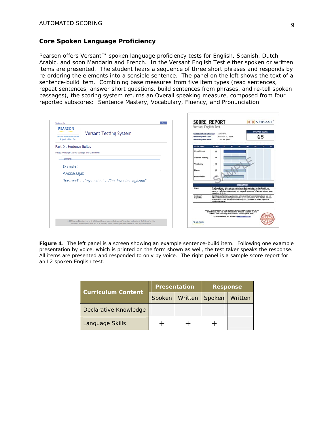#### **Core Spoken Language Proficiency**

Pearson offers Versant™ spoken language proficiency tests for English, Spanish, Dutch, Arabic, and soon Mandarin and French. In the Versant English Test either spoken or written items are presented. The student hears a sequence of three short phrases and responds by re-ordering the elements into a sensible sentence. The panel on the left shows the text of a sentence-build item. Combining base measures from five item types (read sentences, repeat sentences, answer short questions, build sentences from phrases, and re-tell spoken passages), the scoring system returns an Overall speaking measure, composed from four reported subscores: Sentence Mastery, Vocabulary, Fluency, and Pronunciation.

| Nenu<br>Welcome to<br><b>PEARSON</b>                                                                                                                                                                                                                               | <b>SCORE REPORT</b><br>)) VERSANT<br>Versant English Test                                                                                                                                                                                                                                                                                  |
|--------------------------------------------------------------------------------------------------------------------------------------------------------------------------------------------------------------------------------------------------------------------|--------------------------------------------------------------------------------------------------------------------------------------------------------------------------------------------------------------------------------------------------------------------------------------------------------------------------------------------|
| <b>Versant Testing System</b><br>Versant Professional: Listen<br>& Speak - Field Test                                                                                                                                                                              | <b>OVERALL SCORE</b><br><b>Test klentification Number:</b><br>12345678<br>48<br><b>Test Completion Date:</b><br>January 1, 2009<br><b>Teef Completion Time:</b><br>1:23 PM (OTC)                                                                                                                                                           |
| Part D : Sentence Builds                                                                                                                                                                                                                                           | <b>SKILL AREA</b><br>SCORE<br>70<br>50<br>œ                                                                                                                                                                                                                                                                                                |
| Please rearrange the word groups into a sentence.                                                                                                                                                                                                                  | Overall Score<br>$\bullet$                                                                                                                                                                                                                                                                                                                 |
| Example:                                                                                                                                                                                                                                                           | 48<br><b>Sentence Mastery</b>                                                                                                                                                                                                                                                                                                              |
| Example:                                                                                                                                                                                                                                                           | Vocabulary<br>53                                                                                                                                                                                                                                                                                                                           |
| A voice says:                                                                                                                                                                                                                                                      | 4B<br>Fluency<br>Pronunciation<br>æ                                                                                                                                                                                                                                                                                                        |
| "has read"  "my mother"  "her favorite magazine"                                                                                                                                                                                                                   |                                                                                                                                                                                                                                                                                                                                            |
|                                                                                                                                                                                                                                                                    | <b>DESCRIPTION</b>                                                                                                                                                                                                                                                                                                                         |
|                                                                                                                                                                                                                                                                    | Ovarat<br>The Ovaral Score of the text represents the ability to understand spoken Engith and<br>speak it intelligibly at a native the conversational pace on everyday topics. Scores are<br>based on a weighind contenation of four degrees to subscores. Scores are reported in the<br>range from 20 to 80.                              |
|                                                                                                                                                                                                                                                                    | Candidate's<br>Candidate can handle many uttersnoes using a vertety of words and structures, and can<br>follow and somalitmes participate in a native-paced conversation. Pronunciation is mostly<br><b>Cooststand</b><br>intelligible, candidate can express some composite information on familiar topics to a<br>cooperative Islaner.   |
|                                                                                                                                                                                                                                                                    | 4 2008 Pearson Education, Inc. or its affiliated). All rights reserved. Cridinate and Versant<br>ani tradizments, in the U.S. and/or other countries, of Pearson Education, Inc. or its<br>affiliation). Other names may be the trademarks of their respective owners.<br>For more information, visit us online at ance, Variate Tack com- |
| © 2009 Pearson Education, Inc. or its affiliate(s). All rights reserved. Ordinate and Versant are trademarks, in the U.S. and/or other<br>countries, of Pearson Education, Inc. or its affiliate(s). Other names may be the trademarks of their respective owners. | <b>PEARSON</b>                                                                                                                                                                                                                                                                                                                             |

**Figure 4**. *The left panel is a screen showing an example sentence-build item. Following one example presentation by voice, which is printed on the form shown as well, the test taker speaks the response. All items are presented and responded to only by voice. The right panel is a sample score report for an L2 spoken English test.*

| <b>Curriculum Content</b> | <b>Presentation</b> |         | <b>Response</b> |         |
|---------------------------|---------------------|---------|-----------------|---------|
|                           | Spoken              | Written | Spoken          | Written |
| Declarative Knowledge     |                     |         |                 |         |
| Language Skills           |                     |         |                 |         |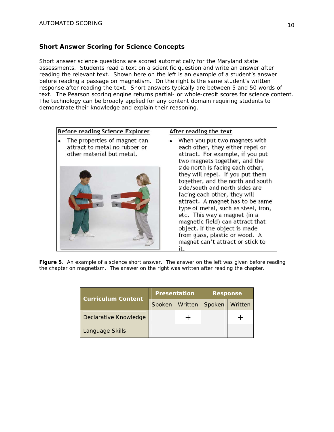# **Short Answer Scoring for Science Concepts**

Short answer science questions are scored automatically for the Maryland state assessments. Students read a text on a scientific question and write an answer after reading the relevant text. Shown here on the left is an example of a student's answer before reading a passage on magnetism. On the right is the same student's written response after reading the text. Short answers typically are between 5 and 50 words of text. The Pearson scoring engine returns partial- or whole-credit scores for science content. The technology can be broadly applied for any content domain requiring students to demonstrate their knowledge and explain their reasoning.



**Figure 5.** *An example of a science short answer. The answer on the left was given before reading the chapter on magnetism. The answer on the right was written after reading the chapter.* 

|                           | <b>Presentation</b> |         | <b>Response</b> |         |
|---------------------------|---------------------|---------|-----------------|---------|
| <b>Curriculum Content</b> | Spoken              | Written | Spoken          | Written |
| Declarative Knowledge     |                     |         |                 |         |
| Language Skills           |                     |         |                 |         |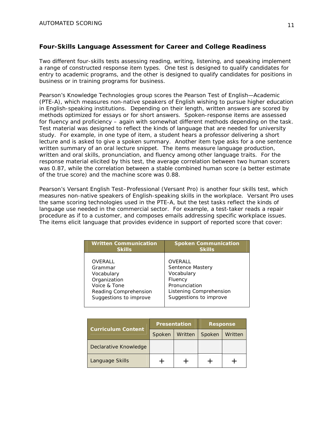# **Four-Skills Language Assessment for Career and College Readiness**

Two different four-skills tests assessing reading, writing, listening, and speaking implement a range of constructed response item types. One test is designed to qualify candidates for entry to academic programs, and the other is designed to qualify candidates for positions in business or in training programs for business.

Pearson's Knowledge Technologies group scores the *Pearson Test of English—Academic (PTE-A)*, which measures non-native speakers of English wishing to pursue higher education in English-speaking institutions. Depending on their length, written answers are scored by methods optimized for essays or for short answers. Spoken-response items are assessed for fluency and proficiency – again with somewhat different methods depending on the task. Test material was designed to reflect the kinds of language that are needed for university study. For example, in one type of item, a student hears a professor delivering a short lecture and is asked to give a spoken summary. Another item type asks for a one sentence written summary of an oral lecture snippet. The items measure language production, written and oral skills, pronunciation, and fluency among other language traits. For the response material elicited by this test, the average correlation between two human scorers was 0.87, while the correlation between a stable combined human score (a better estimate of the true score) and the machine score was 0.88.

Pearson's *Versant English Test–Professional* (Versant Pro) is another four skills test, which measures non-native speakers of English-speaking skills in the workplace. Versant Pro uses the same scoring technologies used in the PTE-A, but the test tasks reflect the kinds of language use needed in the commercial sector. For example, a test-taker reads a repair procedure as if to a customer, and composes emails addressing specific workplace issues. The items elicit language that provides evidence in support of reported score that cover:

| <b>Written Communication</b> | <b>Spoken Communication</b> |
|------------------------------|-----------------------------|
| <b>Skills</b>                | <b>Skills</b>               |
| OVERALL                      | OVERALL                     |
| Grammar                      | Sentence Mastery            |
| Vocabulary                   | Vocabulary                  |
| Organization                 | Fluency                     |
| Voice & Tone                 | Pronunciation               |
| Reading Comprehension        | Listening Comprehension     |
| Suggestions to improve       | Suggestions to improve      |

|                           | <b>Presentation</b> |         | <b>Response</b> |         |
|---------------------------|---------------------|---------|-----------------|---------|
| <b>Curriculum Content</b> | Spoken              | Written | Spoken          | Written |
| Declarative Knowledge     |                     |         |                 |         |
| Language Skills           |                     |         |                 |         |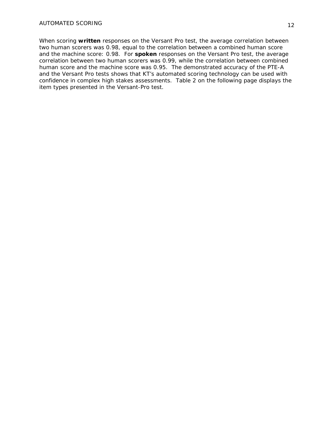When scoring *written* responses on the Versant Pro test, the average correlation between two human scorers was 0.98, equal to the correlation between a combined human score and the machine score: 0.98. For *spoken* responses on the Versant Pro test, the average correlation between two human scorers was 0.99, while the correlation between combined human score and the machine score was 0.95. The demonstrated accuracy of the PTE-A and the Versant Pro tests shows that KT's automated scoring technology can be used with confidence in complex high stakes assessments. Table 2 on the following page displays the item types presented in the Versant-Pro test.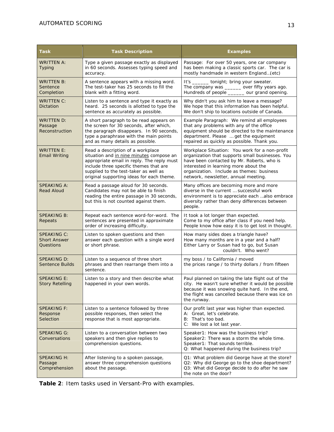| Task                                                   | <b>Task Description</b>                                                                                                                                                                                                                                     | <b>Examples</b>                                                                                                                                                                                                                                                                |  |  |  |
|--------------------------------------------------------|-------------------------------------------------------------------------------------------------------------------------------------------------------------------------------------------------------------------------------------------------------------|--------------------------------------------------------------------------------------------------------------------------------------------------------------------------------------------------------------------------------------------------------------------------------|--|--|--|
| WRITTEN A:<br><b>Typing</b>                            | Type a given passage exactly as displayed<br>in 60 seconds. Assesses typing speed and<br>accuracy.                                                                                                                                                          | Passage: For over 50 years, one car company<br>has been making a classic sports car. The car is<br>mostly handmade in western England(etc)                                                                                                                                     |  |  |  |
| WRITTEN B:<br>Sentence<br>Completion                   | A sentence appears with a missing word.<br>The test-taker has 25 seconds to fill the<br>blank with a fitting word.                                                                                                                                          | It's _______ tonight; bring your sweater.<br>The company was ______ over fifty years ago.<br>Hundreds of people ______ our grand opening.                                                                                                                                      |  |  |  |
| WRITTEN C:<br>Dictation                                | Listen to a sentence and type it exactly as<br>heard. 25 seconds is allotted to type the<br>sentence as accurately as possible.                                                                                                                             | Why didn't you ask him to leave a message?<br>We hope that this information has been helpful.<br>We don't ship to locations outside of Canada.                                                                                                                                 |  |  |  |
| WRITTEN D:<br>Passage<br>Reconstruction                | A short paragraph to be read appears on<br>the screen for 30 seconds, after which,<br>the paragraph disappears. In 90 seconds,<br>type a paraphrase with the main points<br>and as many details as possible.                                                | Example Paragraph: We remind all employees<br>that any problems with any of the office<br>equipment should be directed to the maintenance<br>department. Please  get the equipment<br>repaired as quickly as possible. Thank you.                                              |  |  |  |
| <b>WRITTEN E:</b><br><b>Email Writing</b>              | Read a description of a workplace<br>situation and in nine minutes compose an<br>appropriate email in reply. The reply must<br>include three specific themes that are<br>supplied to the test-taker as well as<br>original supporting ideas for each theme. | Workplace Situation: You work for a non-profit<br>organization that supports small businesses. You<br>have been contacted by Mr. Roberts, who is<br>interested in learning more about the<br>organization. Include as themes: business<br>network, newsletter, annual meeting. |  |  |  |
| <b>SPEAKING A:</b><br><b>Read Aloud</b>                | Read a passage aloud for 30 seconds.<br>Candidates may not be able to finish<br>reading the entire passage in 30 seconds,<br>but this is not counted against them.                                                                                          | Many offices are becoming more and more<br>diverse in the current  successful work<br>environment is to appreciate each also embrace<br>diversity rather than deny differences between<br>people.                                                                              |  |  |  |
| <b>SPEAKING B:</b><br>Repeats                          | Repeat each sentence word-for-word. The<br>sentences are presented in approximate<br>order of increasing difficulty.                                                                                                                                        | It took a lot longer than expected.<br>Come to my office after class if you need help.<br>People know how easy it is to get lost in thought.                                                                                                                                   |  |  |  |
| <b>SPEAKING C:</b><br><b>Short Answer</b><br>Questions | Listen to spoken questions and then<br>answer each question with a single word<br>or short phrase.                                                                                                                                                          | How many sides does a triangle have?<br>How many months are in a year and a half?<br>Either Larry or Susan had to go, but Susan<br>couldn't. Who went?                                                                                                                         |  |  |  |
| <b>SPEAKING D:</b><br><b>Sentence Builds</b>           | Listen to a sequence of three short<br>phrases and then rearrange them into a<br>sentence.                                                                                                                                                                  | my boss / to California / moved<br>the prices range / to thirty dollars / from fifteen                                                                                                                                                                                         |  |  |  |
| <b>SPEAKING E:</b><br><b>Story Retelling</b>           | Listen to a story and then describe what<br>happened in your own words.                                                                                                                                                                                     | Paul planned on taking the late flight out of the<br>city. He wasn't sure whether it would be possible<br>because it was snowing quite hard. In the end,<br>the flight was cancelled because there was ice on<br>the runway.                                                   |  |  |  |
| SPEAKING F:<br>Response<br>Selection                   | Listen to a sentence followed by three<br>possible responses, then select the<br>response that is most appropriate.                                                                                                                                         | Our profit last year was higher than expected.<br>A: Great, let's celebrate.<br>B: That's too bad.<br>C: We lost a lot last year.                                                                                                                                              |  |  |  |
| SPEAKING G:<br>Conversations                           | Listen to a conversation between two<br>speakers and then give replies to<br>comprehension questions.                                                                                                                                                       | Speaker1: How was the business trip?<br>Speaker2: There was a storm the whole time.<br>Speaker1: That sounds terrible.<br>Q: What happened during the business trip?                                                                                                           |  |  |  |
| <b>SPEAKING H:</b><br>Passage<br>Comprehension         | After listening to a spoken passage,<br>answer three comprehension questions<br>about the passage.                                                                                                                                                          | Q1: What problem did George have at the store?<br>Q2: Why did George go to the shoe department?<br>Q3: What did George decide to do after he saw<br>the note on the door?                                                                                                      |  |  |  |

**Table 2**: *Item tasks used in Versant-Pro with examples.*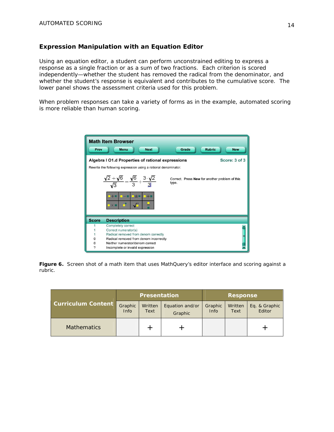# **Expression Manipulation with an Equation Editor**

Using an equation editor, a student can perform unconstrained editing to express a response as a single fraction or as a sum of two fractions. Each criterion is scored independently—whether the student has removed the radical from the denominator, and whether the student's response is equivalent and contributes to the cumulative score. The lower panel shows the assessment criteria used for this problem.

When problem responses can take a variety of forms as in the example, automated scoring is more reliable than human scoring.

| Prev                                                           | <b>Math Item Browser</b><br><b>Rubric</b><br>Grade<br><b>Menu</b><br><b>Next</b><br><b>New</b>                                             |  |  |  |  |  |
|----------------------------------------------------------------|--------------------------------------------------------------------------------------------------------------------------------------------|--|--|--|--|--|
|                                                                | Score: 3 of 3<br>Algebra I O1.d Properties of rational expressions                                                                         |  |  |  |  |  |
| Rewrite the following expression using a rational denominator. |                                                                                                                                            |  |  |  |  |  |
|                                                                | $\frac{\sqrt{2}+\sqrt{6}}{\sqrt{3}} = \frac{\sqrt{6}}{3} + \frac{3\sqrt{2}}{3}$<br>Correct. Press New for another problem of this<br>type. |  |  |  |  |  |
|                                                                | $-1$<br>$-+$<br>口干量<br>$\mathbb{R}$ $\times$ $\blacksquare$                                                                                |  |  |  |  |  |
| <b>Score</b>                                                   | <b>Description</b>                                                                                                                         |  |  |  |  |  |
|                                                                | Completely correct                                                                                                                         |  |  |  |  |  |
|                                                                | Correct numerator(s)                                                                                                                       |  |  |  |  |  |
|                                                                | Radical removed from denom correctly                                                                                                       |  |  |  |  |  |
| $\Omega$                                                       | Radical removed from denom incorrectly                                                                                                     |  |  |  |  |  |
| $\Omega$                                                       | Neither numerator/denom correct                                                                                                            |  |  |  |  |  |
| ?                                                              | Incomplete or invalid expression                                                                                                           |  |  |  |  |  |

**Figure 6.** *Screen shot of a math item that uses MathQuery's editor interface and scoring against a rubric.*

|                           | <b>Presentation</b> |                 |                            | <b>Response</b> |                 |                         |
|---------------------------|---------------------|-----------------|----------------------------|-----------------|-----------------|-------------------------|
| <b>Curriculum Content</b> | Graphic<br>Info     | Written<br>Text | Equation and/or<br>Graphic | Graphic<br>Info | Written<br>Text | Eq. & Graphic<br>Editor |
| <b>Mathematics</b>        |                     |                 |                            |                 |                 |                         |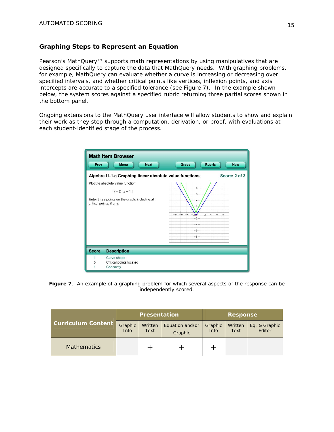# **Graphing Steps to Represent an Equation**

Pearson's MathQuery<sup>™</sup> supports math representations by using manipulatives that are designed specifically to capture the data that MathQuery needs. With graphing problems, for example, MathQuery can evaluate whether a curve is increasing or decreasing over specified intervals, and whether critical points like vertices, inflexion points, and axis intercepts are accurate to a specified tolerance (see Figure 7). In the example shown below, the system scores against a specified rubric returning three partial scores shown in the bottom panel.

Ongoing extensions to the MathQuery user interface will allow students to show and explain their work as they step through a computation, derivation, or proof, with evaluations at each student-identified stage of the process.

| Prev                                                                     | <b>Math Item Browser</b><br><b>Rubric</b><br><b>Next</b><br>Grade<br><b>Menu</b><br><b>New</b>                                                                                   |  |  |  |  |
|--------------------------------------------------------------------------|----------------------------------------------------------------------------------------------------------------------------------------------------------------------------------|--|--|--|--|
| Algebra I L1.c Graphing linear absolute value functions<br>Score: 2 of 3 |                                                                                                                                                                                  |  |  |  |  |
|                                                                          | Plot the absolute value function                                                                                                                                                 |  |  |  |  |
| $B -$<br>$y = 2   x + 1  $<br>ĥ.                                         |                                                                                                                                                                                  |  |  |  |  |
|                                                                          | Enter three points on the graph, including all<br>4<br>critical points, if any.<br>$-8$ $-6$ $-4$ $-20$<br>$\frac{1}{2}$<br>Ġ.<br>$\dot{8}$<br>$-2 -$<br>$-4-$<br>$-6-$<br>$-8-$ |  |  |  |  |
| <b>Score</b>                                                             | <b>Description</b>                                                                                                                                                               |  |  |  |  |
| 1<br>0<br>1                                                              | Curve shape<br>Critical points located<br>Concavity                                                                                                                              |  |  |  |  |

**Figure 7***. An example of a graphing problem for which several aspects of the response can be independently scored.* 

|                           | <b>Presentation</b> |                 |                            | <b>Response</b> |                 |                         |
|---------------------------|---------------------|-----------------|----------------------------|-----------------|-----------------|-------------------------|
| <b>Curriculum Content</b> | Graphic<br>Info     | Written<br>Text | Equation and/or<br>Graphic | Graphic<br>Info | Written<br>Text | Eq. & Graphic<br>Editor |
| <b>Mathematics</b>        |                     |                 |                            |                 |                 |                         |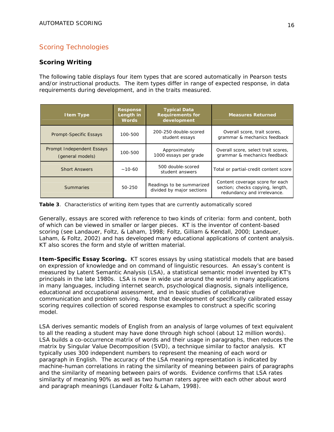# Scoring Technologies

## **Scoring Writing**

The following table displays four item types that are scored automatically in Pearson tests and/or instructional products. The item types differ in range of expected response, in data requirements during development, and in the traits measured.

| <b>I tem Type</b>                             | <b>Response</b><br>Length in<br><b>Words</b>     | <b>Typical Data</b><br><b>Requirements for</b><br>development | <b>Measures Returned</b>                                                                           |
|-----------------------------------------------|--------------------------------------------------|---------------------------------------------------------------|----------------------------------------------------------------------------------------------------|
| Prompt-Specific Essays                        | 100-500                                          | 200-250 double-scored<br>student essays                       | Overall score, trait scores,<br>grammar & mechanics feedback                                       |
| Prompt Independent Essays<br>(general models) | 100-500                                          | Approximately<br>1000 essays per grade                        | Overall score, select trait scores,<br>grammar & mechanics feedback                                |
| <b>Short Answers</b>                          | 500 double-scored<br>$~10-60$<br>student answers |                                                               | Total or partial-credit content score                                                              |
| <b>Summaries</b>                              | 50-250                                           | Readings to be summarized<br>divided by major sections        | Content coverage score for each<br>section; checks copying, length,<br>redundancy and irrelevance. |

**Table 3**. *Characteristics of writing item types that are currently automatically scored*

Generally, essays are scored with reference to two kinds of criteria: form and content, both of which can be viewed in smaller or larger pieces. KT is the inventor of content-based scoring (see Landauer, Foltz, & Laham, 1998; Foltz, Gilliam & Kendall, 2000; Landauer, Laham, & Foltz, 2002) and has developed many educational applications of content analysis. KT also scores the form and style of written material.

**Item-Specific Essay Scoring.** KT scores essays by using statistical models that are based on expression of knowledge and on command of linguistic resources. An essay's content is measured by Latent Semantic Analysis (LSA), a statistical semantic model invented by KT's principals in the late 1980s. LSA is now in wide use around the world in many applications in many languages, including internet search, psychological diagnosis, signals intelligence, educational and occupational assessment, and in basic studies of collaborative communication and problem solving. Note that development of specifically calibrated essay scoring requires collection of scored response examples to construct a specific scoring model.

LSA derives semantic models of English from an analysis of large volumes of text equivalent to all the reading a student may have done through high school (about 12 million words). LSA builds a co-occurrence matrix of words and their usage in paragraphs, then reduces the matrix by Singular Value Decomposition (SVD), a technique similar to factor analysis. KT typically uses 300 independent numbers to represent the meaning of each word or paragraph in English. The accuracy of the LSA meaning representation is indicated by machine-human correlations in rating the similarity of meaning between pairs of paragraphs and the similarity of meaning between pairs of words. Evidence confirms that LSA rates similarity of meaning 90% as well as two human raters agree with each other about word and paragraph meanings (Landauer Foltz & Laham, 1998).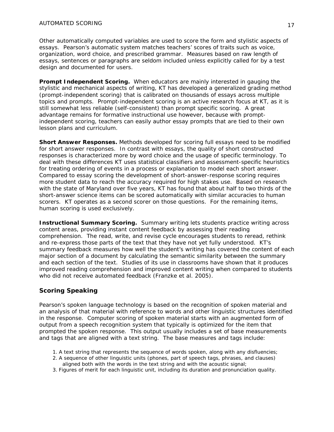Other automatically computed variables are used to score the form and stylistic aspects of essays. Pearson's automatic system matches teachers' scores of traits such as voice, organization, word choice, and prescribed grammar. Measures based on raw length of essays, sentences or paragraphs are seldom included unless explicitly called for by a test design and documented for users.

**Prompt Independent Scoring.** When educators are mainly interested in gauging the stylistic and mechanical aspects of writing, KT has developed a generalized grading method (prompt-independent scoring) that is calibrated on thousands of essays across multiple topics and prompts. Prompt-independent scoring is an active research focus at KT, as it is still somewhat less reliable (self-consistent) than prompt specific scoring. A great advantage remains for formative instructional use however, because with promptindependent scoring, teachers can easily author essay prompts that are tied to their own lesson plans and curriculum.

**Short Answer Responses.** Methods developed for scoring full essays need to be modified for short answer responses. In contrast with essays, the quality of short constructed responses is characterized more by word choice and the usage of specific terminology. To deal with these differences KT uses statistical classifiers and assessment-specific heuristics for treating ordering of events in a process or explanation to model each short answer. Compared to essay scoring the development of short-answer-response scoring requires more student data to reach the accuracy required for high stakes use. Based on research with the state of Maryland over five years, KT has found that about half to two thirds of the short-answer science items can be scored automatically with similar accuracies to human scorers. KT operates as a second scorer on those questions. For the remaining items, human scoring is used exclusively.

**Instructional Summary Scoring.** Summary writing lets students practice writing across content areas, providing instant content feedback by assessing their reading comprehension. The read, write, and revise cycle encourages students to reread, rethink and re-express those parts of the text that they have not yet fully understood. KT's summary feedback measures how well the student's writing has covered the content of each major section of a document by calculating the semantic similarity between the summary and each section of the text. Studies of its use in classrooms have shown that it produces improved reading comprehension and improved content writing when compared to students who did not receive automated feedback (Franzke et al. 2005).

# **Scoring Speaking**

Pearson's spoken language technology is based on the recognition of spoken material and an analysis of that material with reference to words and other linguistic structures identified in the response. Computer scoring of spoken material starts with an augmented form of output from a speech recognition system that typically is optimized for the item that prompted the spoken response. This output usually includes a set of base measurements and tags that are aligned with a text string. The base measures and tags include:

- 1. A text string that represents the sequence of words spoken, along with any disfluencies;
- 2. A sequence of other linguistic units (phones, part of speech tags, phrases, and clauses) aligned both with the words in the text string and with the acoustic signal;
- 3. Figures of merit for each linguistic unit, including its duration and pronunciation quality.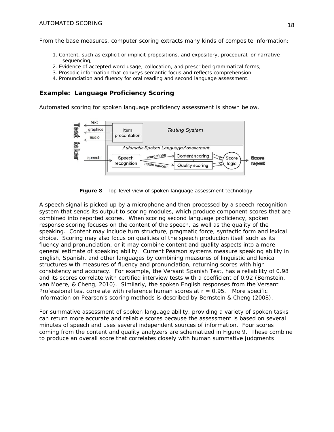From the base measures, computer scoring extracts many kinds of composite information:

- 1. Content, such as explicit or implicit propositions, and expository, procedural, or narrative sequencing;
- 2. Evidence of accepted word usage, collocation, and prescribed grammatical forms;
- 3. Prosodic information that conveys semantic focus and reflects comprehension.
- 4. Pronunciation and fluency for oral reading and second language assessment.

#### **Example: Language Proficiency Scoring**

Automated scoring for spoken language proficiency assessment is shown below.



**Figure 8**. *Top-level view of spoken language assessment technology.* 

A speech signal is picked up by a microphone and then processed by a speech recognition system that sends its output to scoring modules, which produce component scores that are combined into reported scores. When scoring second language proficiency, spoken response scoring focuses on the content of the speech, as well as the quality of the speaking. Content may include turn structure, pragmatic force, syntactic form and lexical choice. Scoring may also focus on qualities of the speech production itself such as its fluency and pronunciation, or it may combine content and quality aspects into a more general estimate of speaking ability. Current Pearson systems measure speaking ability in English, Spanish, and other languages by combining measures of linguistic and lexical structures with measures of fluency and pronunciation, returning scores with high consistency and accuracy. For example, the Versant Spanish Test, has a reliability of 0.98 and its scores correlate with certified interview tests with a coefficient of 0.92 (Bernstein, van Moere, & Cheng, 2010). Similarly, the spoken English responses from the Versant Professional test correlate with reference human scores at  $r = 0.95$ . More specific information on Pearson's scoring methods is described by Bernstein & Cheng (2008).

For summative assessment of spoken language ability, providing a variety of spoken tasks can return more accurate and reliable scores because the assessment is based on several minutes of speech and uses several independent sources of information. Four scores coming from the content and quality analyzers are schematized in Figure 9. These combine to produce an overall score that correlates closely with human summative judgments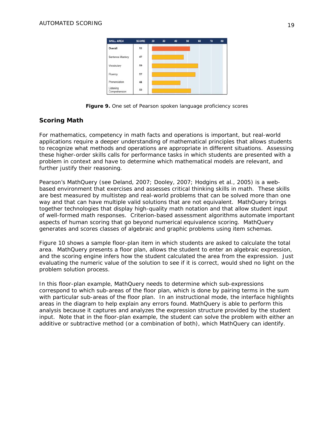

**Figure 9.** *One set of Pearson spoken language proficiency scores*

# **Scoring Math**

For mathematics, competency in math facts and operations is important, but real-world applications require a deeper understanding of mathematical principles that allows students to recognize what methods and operations are appropriate in different situations. Assessing these higher-order skills calls for performance tasks in which students are presented with a problem in context and have to determine which mathematical models are relevant, and further justify their reasoning.

Pearson's MathQuery (see Deland, 2007; Dooley, 2007; Hodgins et al., 2005) is a webbased environment that exercises and assesses critical thinking skills in math. These skills are best measured by multistep and real-world problems that can be solved more than one way and that can have multiple valid solutions that are not equivalent. MathQuery brings together technologies that display high-quality math notation and that allow student input of well-formed math responses. Criterion-based assessment algorithms automate important aspects of human scoring that go beyond numerical equivalence scoring. MathQuery generates and scores classes of algebraic and graphic problems using item schemas.

Figure 10 shows a sample floor-plan item in which students are asked to calculate the total area. MathQuery presents a floor plan, allows the student to enter an algebraic expression, and the scoring engine infers how the student calculated the area from the expression. Just evaluating the numeric value of the solution to see if it is correct, would shed no light on the problem solution process.

In this floor-plan example, MathQuery needs to determine which sub-expressions correspond to which sub-areas of the floor plan, which is done by pairing terms in the sum with particular sub-areas of the floor plan. In an instructional mode, the interface highlights areas in the diagram to help explain any errors found. MathQuery is able to perform this analysis because it captures and analyzes the expression structure provided by the student input. Note that in the floor-plan example, the student can solve the problem with either an additive or subtractive method (or a combination of both), which MathQuery can identify.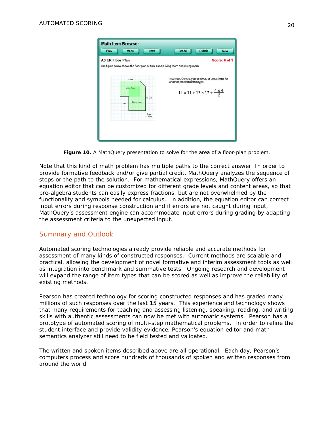| <b>Math Item Browser</b><br><b>Next</b><br>Prev<br><b>Menu</b>                                               | <b>Rubric</b><br>Grade<br><b>New</b>                                                                                                      |
|--------------------------------------------------------------------------------------------------------------|-------------------------------------------------------------------------------------------------------------------------------------------|
| <b>A3 ER Floor Plan</b><br>The figure below shows the floor plan of Mrs. Luna's living room and dining room. | Score: 0 of 1                                                                                                                             |
| 14 feet<br><b>Living Room</b><br>17 feet<br><b>Dining Room</b><br>Patio                                      | Incorrect. Correct your answer, or press New for<br>another problem of this type.<br>$14 \times 11 + 12 \times 17 + \frac{4 \times 4}{2}$ |
| <b>Scale</b><br>$-1$ foot                                                                                    |                                                                                                                                           |

**Figure 10.** *A MathQuery presentation to solve for the area of a floor-plan problem.* 

Note that this kind of math problem has multiple paths to the correct answer. In order to provide formative feedback and/or give partial credit, MathQuery analyzes the sequence of steps or the path to the solution. For mathematical expressions, MathQuery offers an equation editor that can be customized for different grade levels and content areas, so that pre-algebra students can easily express fractions, but are not overwhelmed by the functionality and symbols needed for calculus. In addition, the equation editor can correct input errors during response construction and if errors are not caught during input, MathQuery's assessment engine can accommodate input errors during grading by adapting the assessment criteria to the unexpected input.

# Summary and Outlook

Automated scoring technologies already provide reliable and accurate methods for assessment of many kinds of constructed responses. Current methods are scalable and practical, allowing the development of novel formative and interim assessment tools as well as integration into benchmark and summative tests. Ongoing research and development will expand the range of item types that can be scored as well as improve the reliability of existing methods.

Pearson has created technology for scoring constructed responses and has graded many millions of such responses over the last 15 years. This experience and technology shows that many requirements for teaching and assessing listening, speaking, reading, and writing skills with authentic assessments can now be met with automatic systems. Pearson has a prototype of automated scoring of multi-step mathematical problems. In order to refine the student interface and provide validity evidence, Pearson's equation editor and math semantics analyzer still need to be field tested and validated.

The written and spoken items described above are all operational. Each day, Pearson's computers process and score hundreds of thousands of spoken and written responses from around the world.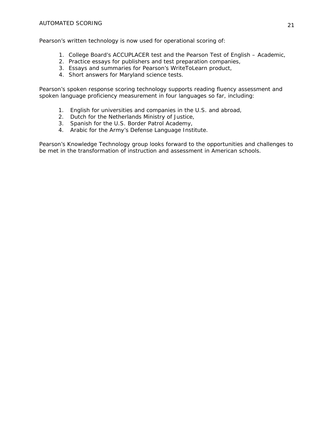Pearson's written technology is now used for operational scoring of:

- 1. College Board's ACCUPLACER test and the Pearson Test of English Academic,
- 2. Practice essays for publishers and test preparation companies,
- 3. Essays and summaries for Pearson's WriteToLearn product,
- 4. Short answers for Maryland science tests.

Pearson's spoken response scoring technology supports reading fluency assessment and spoken language proficiency measurement in four languages so far, including:

- 1. English for universities and companies in the U.S. and abroad,
- 2. Dutch for the Netherlands Ministry of Justice,
- 3. Spanish for the U.S. Border Patrol Academy,
- 4. Arabic for the Army's Defense Language Institute.

Pearson's Knowledge Technology group looks forward to the opportunities and challenges to be met in the transformation of instruction and assessment in American schools.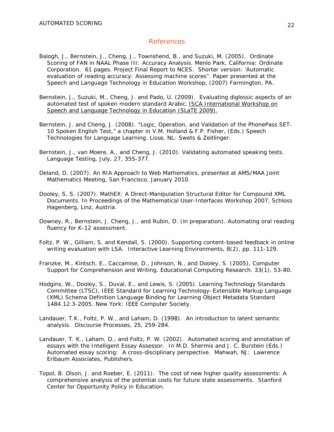#### References

- Balogh, J., Bernstein, J., Cheng, J., Townshend, B., and Suzuki, M. (2005). *Ordinate Scoring of FAN in NAAL Phase III: Accuracy Analysis.* Menlo Park, California: Ordinate Corporation. 61 pages. Project Final Report to NCES. Shorter version: 'Automatic evaluation of reading accuracy: Assessing machine scores". Paper presented at the *Speech and Language Technology in Education Workshop*, (2007) Farmington, PA.
- Bernstein, J., Suzuki, M., Cheng, J. and Pado, U. (2009). Evaluating diglossic aspects of an automated test of spoken modern standard Arabic.**.** *ISCA International Workshop on Speech and Language Technology in Education (SLaTE 2009).*
- Bernstein, J. and Cheng, J. (2008). "Logic, Operation, and Validation of the PhonePass SET-10 Spoken English Test," a chapter in V.M. Holland & F.P. Fisher, (Eds.) *Speech Technologies for Language Learning*. Lisse, NL: Swets & Zeitlinger.
- Bernstein, J., van Moere, A., and Cheng, J. (2010). Validating automated speaking tests. *Language Testing*, July, *27*, 355-377.
- Deland, D. (2007). An RIA Approach to Web Mathematics, presented at AMS/MAA Joint Mathematics Meeting, San Francisco, January 2010.
- Dooley, S. S. (2007). MathEX: A Direct-Manipulation Structural Editor for Compound XML Documents. In *Proceedings of the Mathematical User-Interfaces Workshop 2007*, Schloss Hagenberg, Linz, Austria.
- Downey, R., Bernstein, J. Cheng, J., and Rubin, D. (in preparation). Automating oral reading fluency for K-12 assessment.
- Foltz, P. W., Gilliam, S. and Kendall, S. (2000). Supporting content-based feedback in online writing evaluation with LSA. *Interactive Learning Environments, 8*(2), pp. 111-129.
- Franzke, M., Kintsch, E., Caccamise, D., Johnson, N., and Dooley, S. (2005), Computer Support for Comprehension and Writing. *Educational Computing Research*. 33(1), 53-80.
- Hodgins, W., Dooley, S., Duval, E., and Lewis, S. (2005). Learning Technology Standards Committee (LTSC), *IEEE Standard for Learning Technology–Extensible Markup Language (XML) Schema Definition Language Binding for Learning Object Metadata* Standard 1484.12.3-2005. New York: IEEE Computer Society.
- Landauer, T.K., Foltz, P. W., and Laham, D. (1998). An introduction to latent semantic analysis. *Discourse Processes, 25,* 259-284.
- Landauer, T. K., Laham, D., and Foltz, P. W. (2002). Automated scoring and annotation of essays with the Intelligent Essay Assessor. In M.D. Shermis and J. C. Burstein (Eds.) *Automated essay scoring: A cross-disciplinary perspective.* Mahwah, NJ: Lawrence Erlbaum Associates, Publishers.
- Topol, B. Olson, J. and Roeber, E. (2011). *The cost of new higher quality assessments: A comprehensive analysis of the potential costs for future state assessments*. Stanford Center for Opportunity Policy in Education.